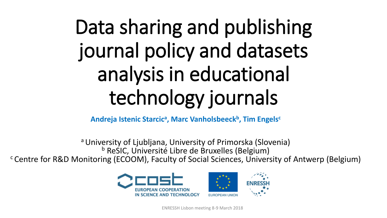## Data sharing and publishing journal policy and datasets analysis in educational technology journals

**Andreja Istenic Starcic<sup>a</sup> , Marc Vanholsbeeck<sup>b</sup> , Tim Engels<sup>c</sup>**

a University of Ljubljana, University of Primorska (Slovenia) <sup>b</sup> ReSIC, Université Libre de Bruxelles (Belgium) <sup>c</sup> Centre for R&D Monitoring (ECOOM), Faculty of Social Sciences, University of Antwerp (Belgium)



ENRESSH Lisbon meeting 8-9 March 2018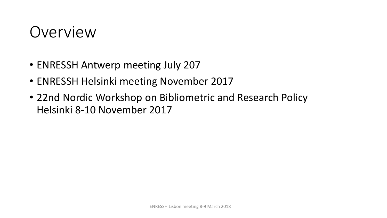## Overview

- ENRESSH Antwerp meeting July 207
- ENRESSH Helsinki meeting November 2017
- 22nd Nordic Workshop on Bibliometric and Research Policy Helsinki 8-10 November 2017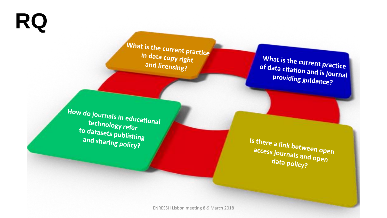**RQ**

What is the current practice in data copy right and licensing?

What is the current practice of data citation and is journal providing guidance?

How do journals in educational technology refer to datasets publishing and sharing policy?

Is there a link between open access journals and open<br>data nolis and open data policy?

ENRESSH Lisbon meeting 8-9 March 2018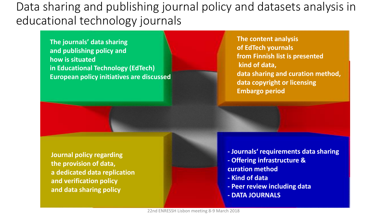## Data sharing and publishing journal policy and datasets analysis in educational technology journals

**The journals' data sharing and publishing policy and how is situated in Educational Technology (EdTech) European policy initiatives are discussed** **The content analysis of EdTech yournals from Finnish list is presented kind of data, data sharing and curation method, data copyright or licensing Embargo period**

**Journal policy regarding the provision of data, a dedicated data replication and verification policy and data sharing policy**

- **- Journals' requirements data sharing - Offering infrastructure & curation method**
- **- Kind of data**
- **- Peer review including data**
- **- DATA JOURNALS**